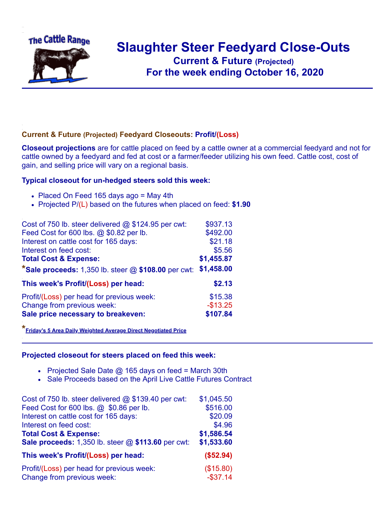

## **Slaughter Steer Feedyard Close-Outs**

**Current & Future (Projected)** .**For the week ending October 16, 2020**

## **Current & Future (Projected) Feedyard Closeouts: Profit/(Loss)**

**Closeout projections** are for cattle placed on feed by a cattle owner at a commercial feedyard and not for cattle owned by a feedyard and fed at cost or a farmer/feeder utilizing his own feed. Cattle cost, cost of gain, and selling price will vary on a regional basis.

## **Typical closeout for un-hedged steers sold this week:**

- Placed On Feed 165 days ago = May 4th
- Projected P/(L) based on the futures when placed on feed: **\$1.90**

| Cost of 750 lb. steer delivered @ \$124.95 per cwt:     | \$937.13   |
|---------------------------------------------------------|------------|
| Feed Cost for 600 lbs. @ \$0.82 per lb.                 | \$492.00   |
| Interest on cattle cost for 165 days:                   | \$21.18    |
| Interest on feed cost:                                  | \$5.56     |
| <b>Total Cost &amp; Expense:</b>                        | \$1,455.87 |
| *Sale proceeds: $1,350$ lb. steer $@$ \$108.00 per cwt: | \$1,458.00 |
| This week's Profit/(Loss) per head:                     | \$2.13     |
| Profit/(Loss) per head for previous week:               | \$15.38    |
| Change from previous week:                              | $-$13.25$  |
| Sale price necessary to breakeven:                      | \$107.84   |

**\*[Friday's 5 Area Daily Weighted Average Direct Negotiated Price](https://www.ams.usda.gov/mnreports/ams_2466.pdf)**

## **Projected closeout for steers placed on feed this week:**

- Projected Sale Date  $@$  165 days on feed = March 30th
- Sale Proceeds based on the April Live Cattle Futures Contract

| Cost of 750 lb. steer delivered $@$ \$139.40 per cwt: | \$1,045.50  |
|-------------------------------------------------------|-------------|
| Feed Cost for 600 lbs. @ \$0.86 per lb.               | \$516.00    |
| Interest on cattle cost for 165 days:                 | \$20.09     |
| Interest on feed cost:                                | \$4.96      |
| <b>Total Cost &amp; Expense:</b>                      | \$1,586.54  |
| Sale proceeds: 1,350 lb. steer @ \$113.60 per cwt:    | \$1,533.60  |
| This week's Profit/(Loss) per head:                   | (\$52.94)   |
| Profit/(Loss) per head for previous week:             | (\$15.80)   |
| Change from previous week:                            | $-$ \$37.14 |